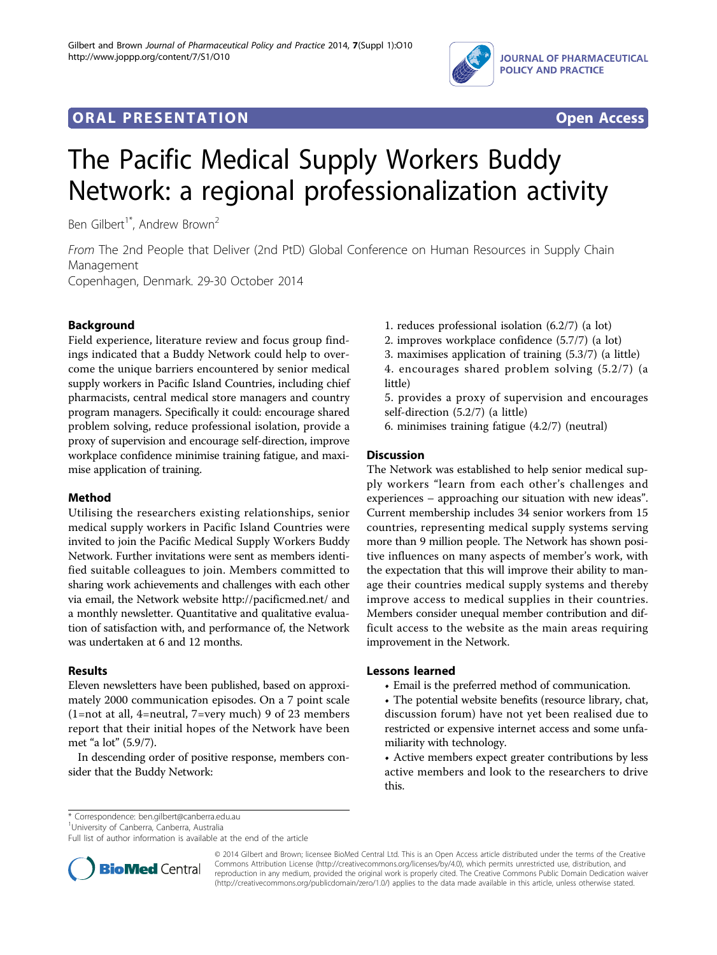

## **ORAL PRESENTATION OPEN ACCESS**



# The Pacific Medical Supply Workers Buddy Network: a regional professionalization activity

Ben Gilbert<sup>1\*</sup>, Andrew Brown<sup>2</sup>

From The 2nd People that Deliver (2nd PtD) Global Conference on Human Resources in Supply Chain Management

Copenhagen, Denmark. 29-30 October 2014

### Background

Field experience, literature review and focus group findings indicated that a Buddy Network could help to overcome the unique barriers encountered by senior medical supply workers in Pacific Island Countries, including chief pharmacists, central medical store managers and country program managers. Specifically it could: encourage shared problem solving, reduce professional isolation, provide a proxy of supervision and encourage self-direction, improve workplace confidence minimise training fatigue, and maximise application of training.

## Method

Utilising the researchers existing relationships, senior medical supply workers in Pacific Island Countries were invited to join the Pacific Medical Supply Workers Buddy Network. Further invitations were sent as members identified suitable colleagues to join. Members committed to sharing work achievements and challenges with each other via email, the Network website<http://pacificmed.net/> and a monthly newsletter. Quantitative and qualitative evaluation of satisfaction with, and performance of, the Network was undertaken at 6 and 12 months.

## Results

Eleven newsletters have been published, based on approximately 2000 communication episodes. On a 7 point scale (1=not at all, 4=neutral, 7=very much) 9 of 23 members report that their initial hopes of the Network have been met "a lot" (5.9/7).

In descending order of positive response, members consider that the Buddy Network:

- 1. reduces professional isolation (6.2/7) (a lot)
- 2. improves workplace confidence (5.7/7) (a lot)
- 3. maximises application of training (5.3/7) (a little)
- 4. encourages shared problem solving (5.2/7) (a little)
- 5. provides a proxy of supervision and encourages self-direction (5.2/7) (a little)
- 6. minimises training fatigue (4.2/7) (neutral)

### **Discussion**

The Network was established to help senior medical supply workers "learn from each other's challenges and experiences – approaching our situation with new ideas". Current membership includes 34 senior workers from 15 countries, representing medical supply systems serving more than 9 million people. The Network has shown positive influences on many aspects of member's work, with the expectation that this will improve their ability to manage their countries medical supply systems and thereby improve access to medical supplies in their countries. Members consider unequal member contribution and difficult access to the website as the main areas requiring improvement in the Network.

#### Lessons learned

- Email is the preferred method of communication.
- The potential website benefits (resource library, chat, discussion forum) have not yet been realised due to restricted or expensive internet access and some unfamiliarity with technology.

• Active members expect greater contributions by less active members and look to the researchers to drive this.

\* Correspondence: [ben.gilbert@canberra.edu.au](mailto:ben.gilbert@canberra.edu.au)

1 University of Canberra, Canberra, Australia

Full list of author information is available at the end of the article



© 2014 Gilbert and Brown; licensee BioMed Central Ltd. This is an Open Access article distributed under the terms of the Creative Commons Attribution License [\(http://creativecommons.org/licenses/by/4.0](http://creativecommons.org/licenses/by/4.0)), which permits unrestricted use, distribution, and reproduction in any medium, provided the original work is properly cited. The Creative Commons Public Domain Dedication waiver [\(http://creativecommons.org/publicdomain/zero/1.0/](http://creativecommons.org/publicdomain/zero/1.0/)) applies to the data made available in this article, unless otherwise stated.